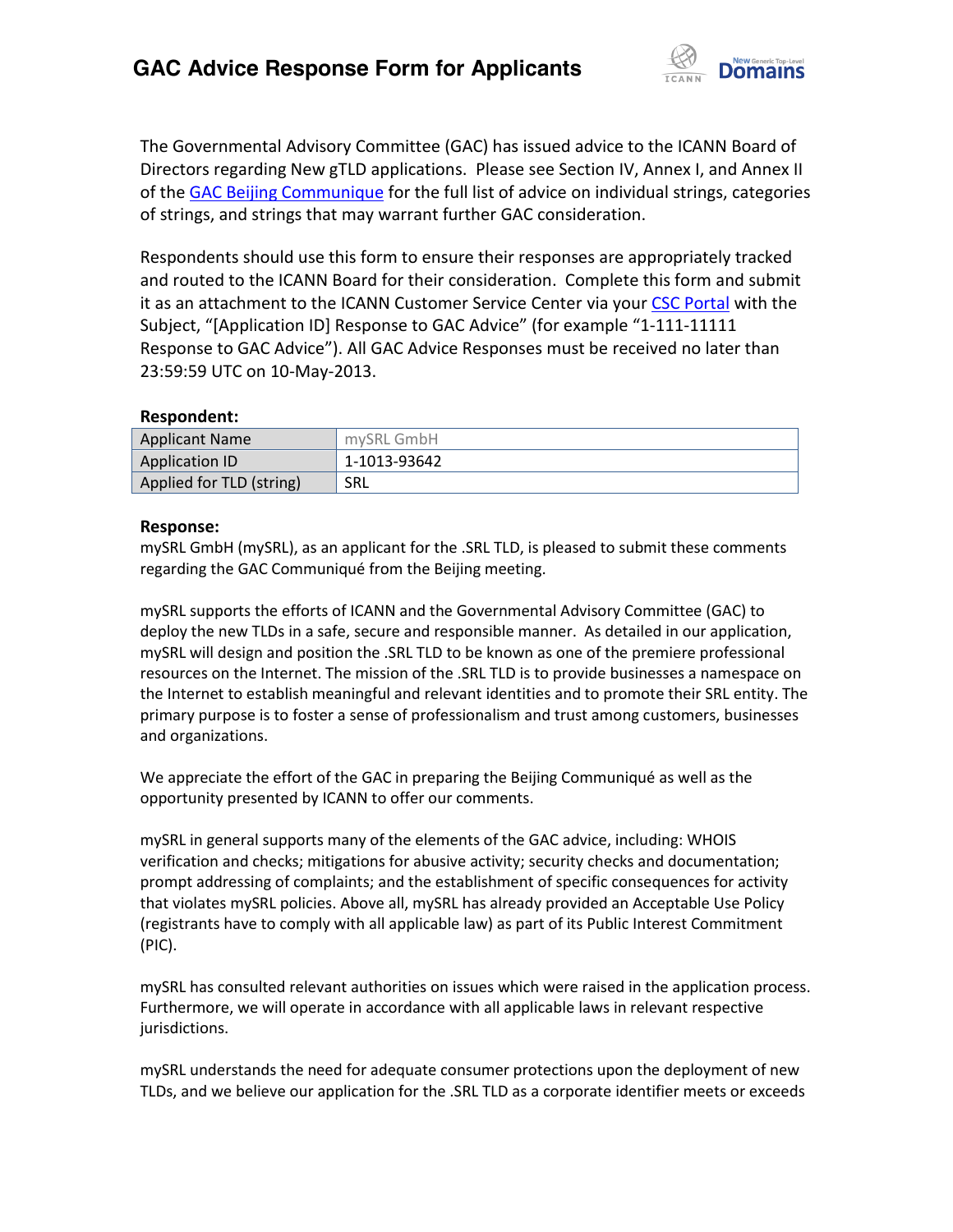

The Governmental Advisory Committee (GAC) has issued advice to the ICANN Board of Directors regarding New gTLD applications. Please see Section IV, Annex I, and Annex II of th[e GAC Beijing Communique](http://www.icann.org/en/news/correspondence/gac-to-board-18apr13-en.pdf) for the full list of advice on individual strings, categories of strings, and strings that may warrant further GAC consideration.

Respondents should use this form to ensure their responses are appropriately tracked and routed to the ICANN Board for their consideration. Complete this form and submit it as an attachment to the ICANN Customer Service Center via your CSC [Portal](https://myicann.secure.force.com/) with the Subject, "[Application ID] Response to GAC Advice" (for example "1-111-11111 Response to GAC Advice"). All GAC Advice Responses must be received no later than 23:59:59 UTC on 10-May-2013.

## **Respondent:**

| <b>Applicant Name</b>    | mySRL GmbH   |
|--------------------------|--------------|
| Application ID           | 1-1013-93642 |
| Applied for TLD (string) | <b>SRL</b>   |

## **Response:**

mySRL GmbH (mySRL), as an applicant for the .SRL TLD, is pleased to submit these comments regarding the GAC Communiqué from the Beijing meeting.

mySRL supports the efforts of ICANN and the Governmental Advisory Committee (GAC) to deploy the new TLDs in a safe, secure and responsible manner. As detailed in our application, mySRL will design and position the .SRL TLD to be known as one of the premiere professional resources on the Internet. The mission of the .SRL TLD is to provide businesses a namespace on the Internet to establish meaningful and relevant identities and to promote their SRL entity. The primary purpose is to foster a sense of professionalism and trust among customers, businesses and organizations.

We appreciate the effort of the GAC in preparing the Beijing Communiqué as well as the opportunity presented by ICANN to offer our comments.

mySRL in general supports many of the elements of the GAC advice, including: WHOIS verification and checks; mitigations for abusive activity; security checks and documentation; prompt addressing of complaints; and the establishment of specific consequences for activity that violates mySRL policies. Above all, mySRL has already provided an Acceptable Use Policy (registrants have to comply with all applicable law) as part of its Public Interest Commitment (PIC).

mySRL has consulted relevant authorities on issues which were raised in the application process. Furthermore, we will operate in accordance with all applicable laws in relevant respective jurisdictions.

mySRL understands the need for adequate consumer protections upon the deployment of new TLDs, and we believe our application for the .SRL TLD as a corporate identifier meets or exceeds